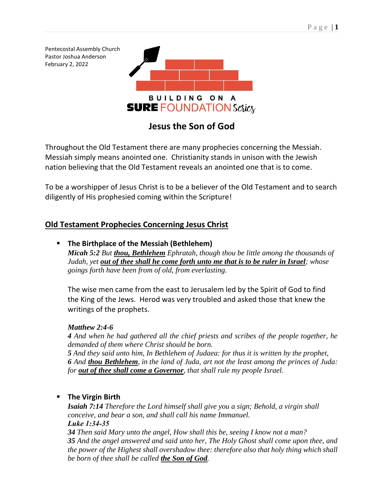Pentecostal Assembly Church Pastor Joshua Anderson February 2, 2022 **BUILDING ON A SURE FOUNDATION Series** 

# **Jesus the Son of God**

Throughout the Old Testament there are many prophecies concerning the Messiah. Messiah simply means anointed one. Christianity stands in unison with the Jewish nation believing that the Old Testament reveals an anointed one that is to come.

To be a worshipper of Jesus Christ is to be a believer of the Old Testament and to search diligently of His prophesied coming within the Scripture!

# **Old Testament Prophecies Concerning Jesus Christ**

## ▪ **The Birthplace of the Messiah (Bethlehem)**

*Micah 5:2 But thou, Bethlehem Ephratah, though thou be little among the thousands of Judah, yet out of thee shall he come forth unto me that is to be ruler in Israel; whose goings forth have been from of old, from everlasting.*

The wise men came from the east to Jerusalem led by the Spirit of God to find the King of the Jews. Herod was very troubled and asked those that knew the writings of the prophets.

### *Matthew 2:4-6*

*4 And when he had gathered all the chief priests and scribes of the people together, he demanded of them where Christ should be born.*

*5 And they said unto him, In Bethlehem of Judaea: for thus it is written by the prophet, 6 And thou Bethlehem, in the land of Juda, art not the least among the princes of Juda: for out of thee shall come a Governor, that shall rule my people Israel.*

### ▪ **The Virgin Birth**

*Isaiah 7:14 Therefore the Lord himself shall give you a sign; Behold, a virgin shall conceive, and bear a son, and shall call his name Immanuel. Luke 1:34-35*

*34 Then said Mary unto the angel, How shall this be, seeing I know not a man? 35 And the angel answered and said unto her, The Holy Ghost shall come upon thee, and the power of the Highest shall overshadow thee: therefore also that holy thing which shall be born of thee shall be called the Son of God.*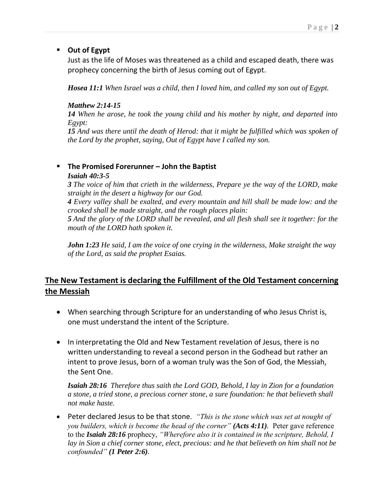#### ▪ **Out of Egypt**

Just as the life of Moses was threatened as a child and escaped death, there was prophecy concerning the birth of Jesus coming out of Egypt.

*Hosea 11:1 When Israel was a child, then I loved him, and called my son out of Egypt.*

#### *Matthew 2:14-15*

*14 When he arose, he took the young child and his mother by night, and departed into Egypt:*

*15 And was there until the death of Herod: that it might be fulfilled which was spoken of the Lord by the prophet, saying, Out of Egypt have I called my son.*

#### ▪ **The Promised Forerunner – John the Baptist**

#### *Isaiah 40:3-5*

*3 The voice of him that crieth in the wilderness, Prepare ye the way of the LORD, make straight in the desert a highway for our God.*

*4 Every valley shall be exalted, and every mountain and hill shall be made low: and the crooked shall be made straight, and the rough places plain:*

*5 And the glory of the LORD shall be revealed, and all flesh shall see it together: for the mouth of the LORD hath spoken it.*

*John 1:23 He said, I am the voice of one crying in the wilderness, Make straight the way of the Lord, as said the prophet Esaias.*

# **The New Testament is declaring the Fulfillment of the Old Testament concerning the Messiah**

- When searching through Scripture for an understanding of who Jesus Christ is, one must understand the intent of the Scripture.
- In interpretating the Old and New Testament revelation of Jesus, there is no written understanding to reveal a second person in the Godhead but rather an intent to prove Jesus, born of a woman truly was the Son of God, the Messiah, the Sent One.

*Isaiah 28:16 Therefore thus saith the Lord GOD, Behold, I lay in Zion for a foundation a stone, a tried stone, a precious corner stone, a sure foundation: he that believeth shall not make haste.*

• Peter declared Jesus to be that stone*. "This is the stone which was set at nought of you builders, which is become the head of the corner" (Acts 4:11).* Peter gave reference to the *Isaiah 28:16* prophecy, *"Wherefore also it is contained in the scripture, Behold, I lay in Sion a chief corner stone, elect, precious: and he that believeth on him shall not be confounded" (1 Peter 2:6).*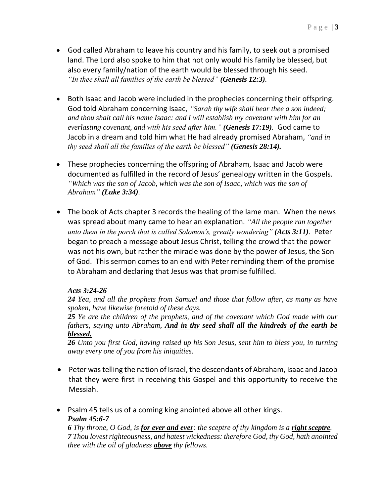- God called Abraham to leave his country and his family, to seek out a promised land. The Lord also spoke to him that not only would his family be blessed, but also every family/nation of the earth would be blessed through his seed. *"In thee shall all families of the earth be blessed" (Genesis 12:3).*
- Both Isaac and Jacob were included in the prophecies concerning their offspring. God told Abraham concerning Isaac, *"Sarah thy wife shall bear thee a son indeed; and thou shalt call his name Isaac: and I will establish my covenant with him for an everlasting covenant, and with his seed after him." (Genesis 17:19).* God came to Jacob in a dream and told him what He had already promised Abraham, *"and in thy seed shall all the families of the earth be blessed" (Genesis 28:14).*
- These prophecies concerning the offspring of Abraham, Isaac and Jacob were documented as fulfilled in the record of Jesus' genealogy written in the Gospels. *"Which was the son of Jacob, which was the son of Isaac, which was the son of Abraham" (Luke 3:34).*
- The book of Acts chapter 3 records the healing of the lame man. When the news was spread about many came to hear an explanation. *"All the people ran together unto them in the porch that is called Solomon's, greatly wondering" (Acts 3:11).* Peter began to preach a message about Jesus Christ, telling the crowd that the power was not his own, but rather the miracle was done by the power of Jesus, the Son of God. This sermon comes to an end with Peter reminding them of the promise to Abraham and declaring that Jesus was that promise fulfilled.

#### *Acts 3:24-26*

*24 Yea, and all the prophets from Samuel and those that follow after, as many as have spoken, have likewise foretold of these days.*

*25 Ye are the children of the prophets, and of the covenant which God made with our fathers, saying unto Abraham, And in thy seed shall all the kindreds of the earth be blessed.*

*26 Unto you first God, having raised up his Son Jesus, sent him to bless you, in turning away every one of you from his iniquities.*

- Peter was telling the nation of Israel, the descendants of Abraham, Isaac and Jacob that they were first in receiving this Gospel and this opportunity to receive the Messiah.
- Psalm 45 tells us of a coming king anointed above all other kings. *Psalm 45:6-7*

*6 Thy throne, O God, is for ever and ever: the sceptre of thy kingdom is a right sceptre. 7 Thou lovest righteousness, and hatest wickedness: therefore God, thy God, hath anointed thee with the oil of gladness above thy fellows.*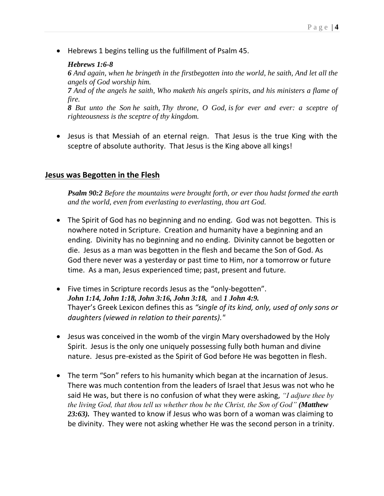• Hebrews 1 begins telling us the fulfillment of Psalm 45.

#### *Hebrews 1:6-8*

*6 And again, when he bringeth in the firstbegotten into the world, he saith, And let all the angels of God worship him. 7 And of the angels he saith, Who maketh his angels spirits, and his ministers a flame of* 

*fire.*

*8 But unto the Son he saith, Thy throne, O God, is for ever and ever: a sceptre of righteousness is the sceptre of thy kingdom.*

• Jesus is that Messiah of an eternal reign. That Jesus is the true King with the sceptre of absolute authority. That Jesus is the King above all kings!

#### **Jesus was Begotten in the Flesh**

*Psalm 90:2 Before the mountains were brought forth, or ever thou hadst formed the earth and the world, even from everlasting to everlasting, thou art God.*

- The Spirit of God has no beginning and no ending. God was not begotten. This is nowhere noted in Scripture. Creation and humanity have a beginning and an ending. Divinity has no beginning and no ending. Divinity cannot be begotten or die. Jesus as a man was begotten in the flesh and became the Son of God. As God there never was a yesterday or past time to Him, nor a tomorrow or future time. As a man, Jesus experienced time; past, present and future.
- Five times in Scripture records Jesus as the "only-begotten". *John 1:14, John 1:18, John 3:16, John 3:18,* and *1 John 4:9.*  Thayer's Greek Lexicon defines this as *"single of its kind, only, used of only sons or daughters (viewed in relation to their parents)."*
- Jesus was conceived in the womb of the virgin Mary overshadowed by the Holy Spirit. Jesus is the only one uniquely possessing fully both human and divine nature. Jesus pre-existed as the Spirit of God before He was begotten in flesh.
- The term "Son" refers to his humanity which began at the incarnation of Jesus. There was much contention from the leaders of Israel that Jesus was not who he said He was, but there is no confusion of what they were asking, *"I adjure thee by the living God, that thou tell us whether thou be the Christ, the Son of God" (Matthew 23:63).* They wanted to know if Jesus who was born of a woman was claiming to be divinity. They were not asking whether He was the second person in a trinity.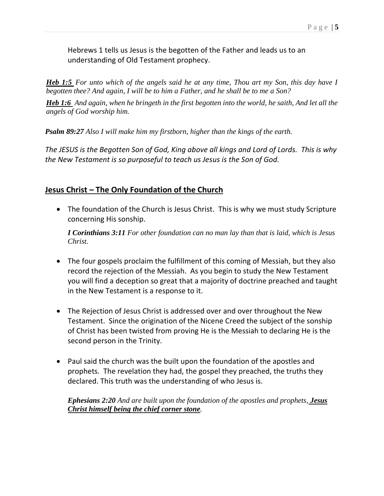Hebrews 1 tells us Jesus is the begotten of the Father and leads us to an understanding of Old Testament prophecy.

*[Heb 1:5](verseid:58.1.5) For unto which of the angels said he at any time, Thou art my Son, this day have I begotten thee? And again, I will be to him a Father, and he shall be to me a Son?*

*[Heb 1:6](verseid:58.1.6) And again, when he bringeth in the first begotten into the world, he saith, And let all the angels of God worship him.*

*Psalm 89:27 Also I will make him my firstborn, higher than the kings of the earth.*

*The JESUS is the Begotten Son of God, King above all kings and Lord of Lords. This is why the New Testament is so purposeful to teach us Jesus is the Son of God.* 

### **Jesus Christ – The Only Foundation of the Church**

• The foundation of the Church is Jesus Christ. This is why we must study Scripture concerning His sonship.

*I Corinthians 3:11 For other foundation can no man lay than that is laid, which is Jesus Christ.*

- The four gospels proclaim the fulfillment of this coming of Messiah, but they also record the rejection of the Messiah. As you begin to study the New Testament you will find a deception so great that a majority of doctrine preached and taught in the New Testament is a response to it.
- The Rejection of Jesus Christ is addressed over and over throughout the New Testament. Since the origination of the Nicene Creed the subject of the sonship of Christ has been twisted from proving He is the Messiah to declaring He is the second person in the Trinity.
- Paul said the church was the built upon the foundation of the apostles and prophets. The revelation they had, the gospel they preached, the truths they declared. This truth was the understanding of who Jesus is.

*Ephesians 2:20 And are built upon the foundation of the apostles and prophets, Jesus Christ himself being the chief corner stone.*